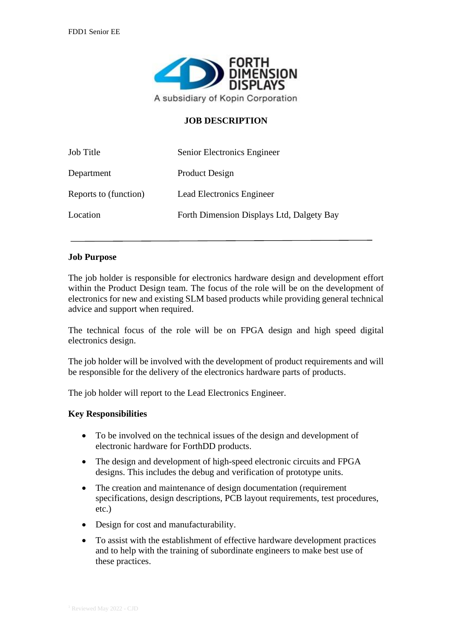

## **JOB DESCRIPTION**

| Job Title             | Senior Electronics Engineer               |
|-----------------------|-------------------------------------------|
| Department            | <b>Product Design</b>                     |
| Reports to (function) | Lead Electronics Engineer                 |
| Location              | Forth Dimension Displays Ltd, Dalgety Bay |

#### **Job Purpose**

The job holder is responsible for electronics hardware design and development effort within the Product Design team. The focus of the role will be on the development of electronics for new and existing SLM based products while providing general technical advice and support when required.

The technical focus of the role will be on FPGA design and high speed digital electronics design.

The job holder will be involved with the development of product requirements and will be responsible for the delivery of the electronics hardware parts of products.

The job holder will report to the Lead Electronics Engineer.

#### **Key Responsibilities**

- To be involved on the technical issues of the design and development of electronic hardware for ForthDD products.
- The design and development of high-speed electronic circuits and FPGA designs. This includes the debug and verification of prototype units.
- The creation and maintenance of design documentation (requirement specifications, design descriptions, PCB layout requirements, test procedures, etc.)
- Design for cost and manufacturability.
- To assist with the establishment of effective hardware development practices and to help with the training of subordinate engineers to make best use of these practices.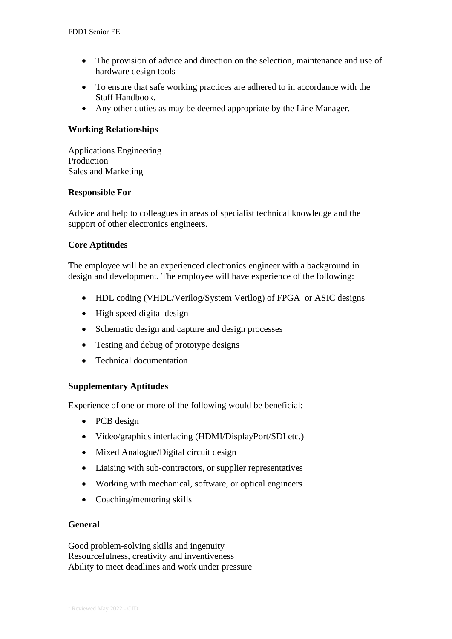- The provision of advice and direction on the selection, maintenance and use of hardware design tools
- To ensure that safe working practices are adhered to in accordance with the Staff Handbook.
- Any other duties as may be deemed appropriate by the Line Manager.

# **Working Relationships**

Applications Engineering Production Sales and Marketing

## **Responsible For**

Advice and help to colleagues in areas of specialist technical knowledge and the support of other electronics engineers.

# **Core Aptitudes**

The employee will be an experienced electronics engineer with a background in design and development. The employee will have experience of the following:

- HDL coding (VHDL/Verilog/System Verilog) of FPGA or ASIC designs
- High speed digital design
- Schematic design and capture and design processes
- Testing and debug of prototype designs
- Technical documentation

# **Supplementary Aptitudes**

Experience of one or more of the following would be beneficial:

- PCB design
- Video/graphics interfacing (HDMI/DisplayPort/SDI etc.)
- Mixed Analogue/Digital circuit design
- Liaising with sub-contractors, or supplier representatives
- Working with mechanical, software, or optical engineers
- Coaching/mentoring skills

## **General**

Good problem-solving skills and ingenuity Resourcefulness, creativity and inventiveness Ability to meet deadlines and work under pressure